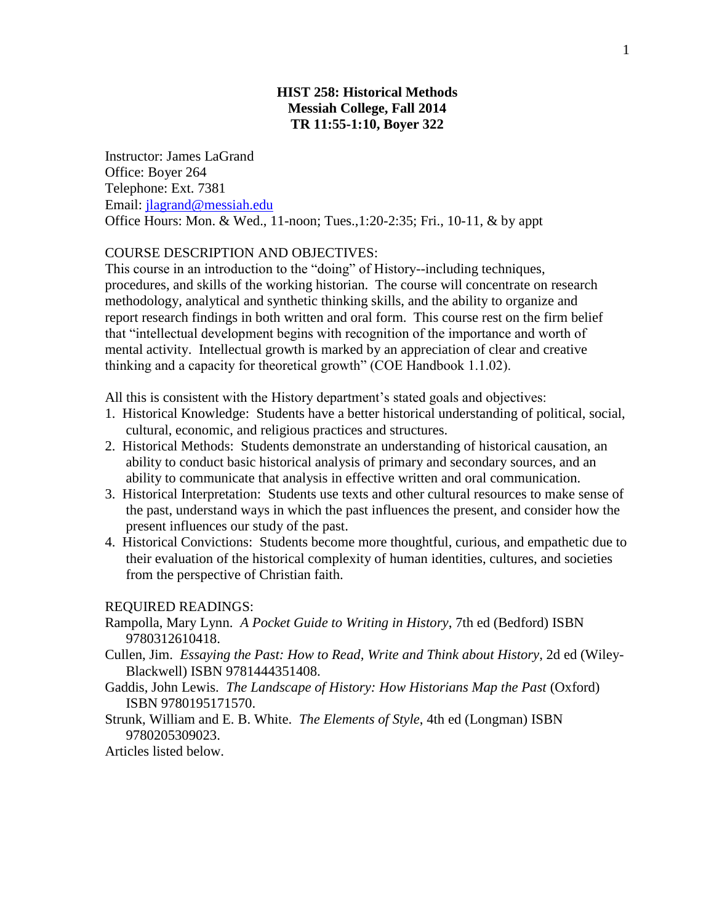# **HIST 258: Historical Methods Messiah College, Fall 2014 TR 11:55-1:10, Boyer 322**

Instructor: James LaGrand Office: Boyer 264 Telephone: Ext. 7381 Email: [jlagrand@messiah.edu](mailto:jlagrand@messiah.edu) Office Hours: Mon. & Wed., 11-noon; Tues.,1:20-2:35; Fri., 10-11, & by appt

### COURSE DESCRIPTION AND OBJECTIVES:

This course in an introduction to the "doing" of History--including techniques, procedures, and skills of the working historian. The course will concentrate on research methodology, analytical and synthetic thinking skills, and the ability to organize and report research findings in both written and oral form. This course rest on the firm belief that "intellectual development begins with recognition of the importance and worth of mental activity. Intellectual growth is marked by an appreciation of clear and creative thinking and a capacity for theoretical growth" (COE Handbook 1.1.02).

All this is consistent with the History department's stated goals and objectives:

- 1. Historical Knowledge: Students have a better historical understanding of political, social, cultural, economic, and religious practices and structures.
- 2. Historical Methods: Students demonstrate an understanding of historical causation, an ability to conduct basic historical analysis of primary and secondary sources, and an ability to communicate that analysis in effective written and oral communication.
- 3. Historical Interpretation: Students use texts and other cultural resources to make sense of the past, understand ways in which the past influences the present, and consider how the present influences our study of the past.
- 4. Historical Convictions: Students become more thoughtful, curious, and empathetic due to their evaluation of the historical complexity of human identities, cultures, and societies from the perspective of Christian faith.

#### REQUIRED READINGS:

- Rampolla, Mary Lynn. *A Pocket Guide to Writing in History*, 7th ed (Bedford) ISBN 9780312610418.
- Cullen, Jim. *Essaying the Past: How to Read, Write and Think about History*, 2d ed (Wiley-Blackwell) ISBN 9781444351408.
- Gaddis, John Lewis. *The Landscape of History: How Historians Map the Past* (Oxford) ISBN 9780195171570.
- Strunk, William and E. B. White. *The Elements of Style*, 4th ed (Longman) ISBN 9780205309023.

Articles listed below.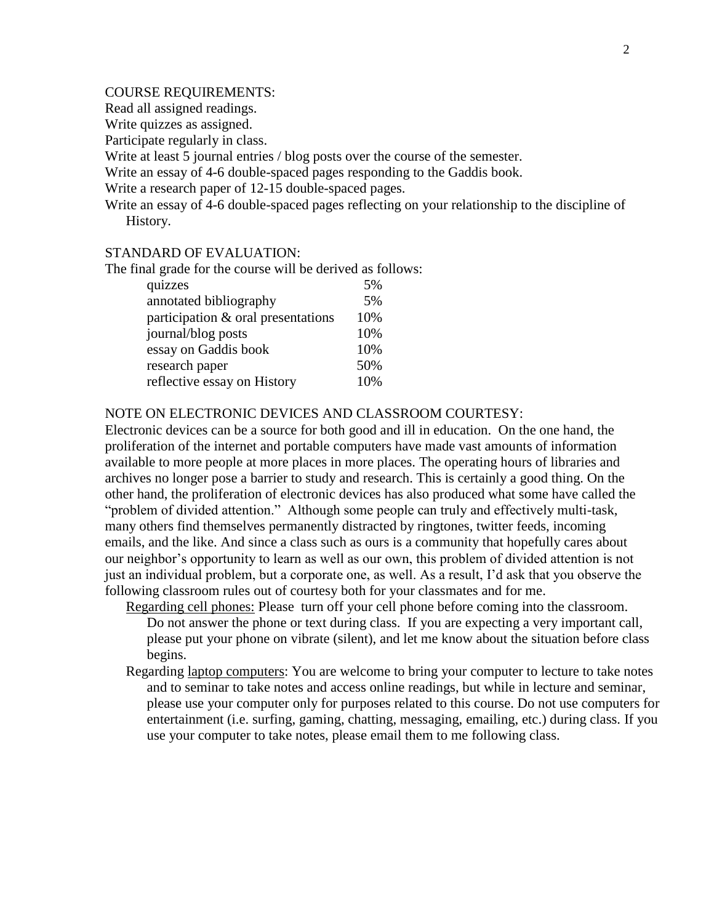# COURSE REQUIREMENTS:

Read all assigned readings.

Write quizzes as assigned.

Participate regularly in class.

Write at least 5 journal entries / blog posts over the course of the semester.

Write an essay of 4-6 double-spaced pages responding to the Gaddis book.

Write a research paper of 12-15 double-spaced pages.

Write an essay of 4-6 double-spaced pages reflecting on your relationship to the discipline of History.

# STANDARD OF EVALUATION:

The final grade for the course will be derived as follows:

| quizzes                            | 5%  |
|------------------------------------|-----|
| annotated bibliography             | 5%  |
| participation & oral presentations | 10% |
| journal/blog posts                 | 10% |
| essay on Gaddis book               | 10% |
| research paper                     | 50% |
| reflective essay on History        | 10% |

#### NOTE ON ELECTRONIC DEVICES AND CLASSROOM COURTESY:

Electronic devices can be a source for both good and ill in education. On the one hand, the proliferation of the internet and portable computers have made vast amounts of information available to more people at more places in more places. The operating hours of libraries and archives no longer pose a barrier to study and research. This is certainly a good thing. On the other hand, the proliferation of electronic devices has also produced what some have called the "problem of divided attention." Although some people can truly and effectively multi-task, many others find themselves permanently distracted by ringtones, twitter feeds, incoming emails, and the like. And since a class such as ours is a community that hopefully cares about our neighbor's opportunity to learn as well as our own, this problem of divided attention is not just an individual problem, but a corporate one, as well. As a result, I'd ask that you observe the following classroom rules out of courtesy both for your classmates and for me.

Regarding cell phones: Please turn off your cell phone before coming into the classroom. Do not answer the phone or text during class. If you are expecting a very important call, please put your phone on vibrate (silent), and let me know about the situation before class begins.

Regarding laptop computers: You are welcome to bring your computer to lecture to take notes and to seminar to take notes and access online readings, but while in lecture and seminar, please use your computer only for purposes related to this course. Do not use computers for entertainment (i.e. surfing, gaming, chatting, messaging, emailing, etc.) during class. If you use your computer to take notes, please email them to me following class.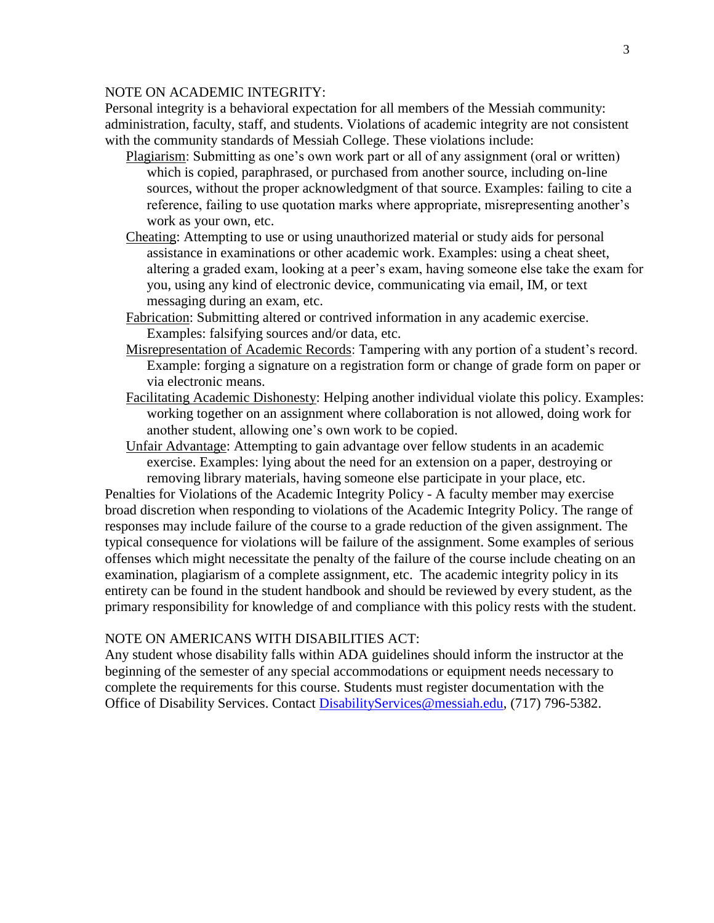# NOTE ON ACADEMIC INTEGRITY:

Personal integrity is a behavioral expectation for all members of the Messiah community: administration, faculty, staff, and students. Violations of academic integrity are not consistent with the community standards of Messiah College. These violations include:

- Plagiarism: Submitting as one's own work part or all of any assignment (oral or written) which is copied, paraphrased, or purchased from another source, including on-line sources, without the proper acknowledgment of that source. Examples: failing to cite a reference, failing to use quotation marks where appropriate, misrepresenting another's work as your own, etc.
- Cheating: Attempting to use or using unauthorized material or study aids for personal assistance in examinations or other academic work. Examples: using a cheat sheet, altering a graded exam, looking at a peer's exam, having someone else take the exam for you, using any kind of electronic device, communicating via email, IM, or text messaging during an exam, etc.
- Fabrication: Submitting altered or contrived information in any academic exercise. Examples: falsifying sources and/or data, etc.
- Misrepresentation of Academic Records: Tampering with any portion of a student's record. Example: forging a signature on a registration form or change of grade form on paper or via electronic means.
- Facilitating Academic Dishonesty: Helping another individual violate this policy. Examples: working together on an assignment where collaboration is not allowed, doing work for another student, allowing one's own work to be copied.
- Unfair Advantage: Attempting to gain advantage over fellow students in an academic exercise. Examples: lying about the need for an extension on a paper, destroying or removing library materials, having someone else participate in your place, etc.

Penalties for Violations of the Academic Integrity Policy - A faculty member may exercise broad discretion when responding to violations of the Academic Integrity Policy. The range of responses may include failure of the course to a grade reduction of the given assignment. The typical consequence for violations will be failure of the assignment. Some examples of serious offenses which might necessitate the penalty of the failure of the course include cheating on an examination, plagiarism of a complete assignment, etc. The academic integrity policy in its entirety can be found in the student handbook and should be reviewed by every student, as the primary responsibility for knowledge of and compliance with this policy rests with the student.

### NOTE ON AMERICANS WITH DISABILITIES ACT:

Any student whose disability falls within ADA guidelines should inform the instructor at the beginning of the semester of any special accommodations or equipment needs necessary to complete the requirements for this course. Students must register documentation with the Office of Disability Services. Contact [DisabilityServices@messiah.edu,](mailto:DisabilityServices@messiah.edu) (717) 796-5382.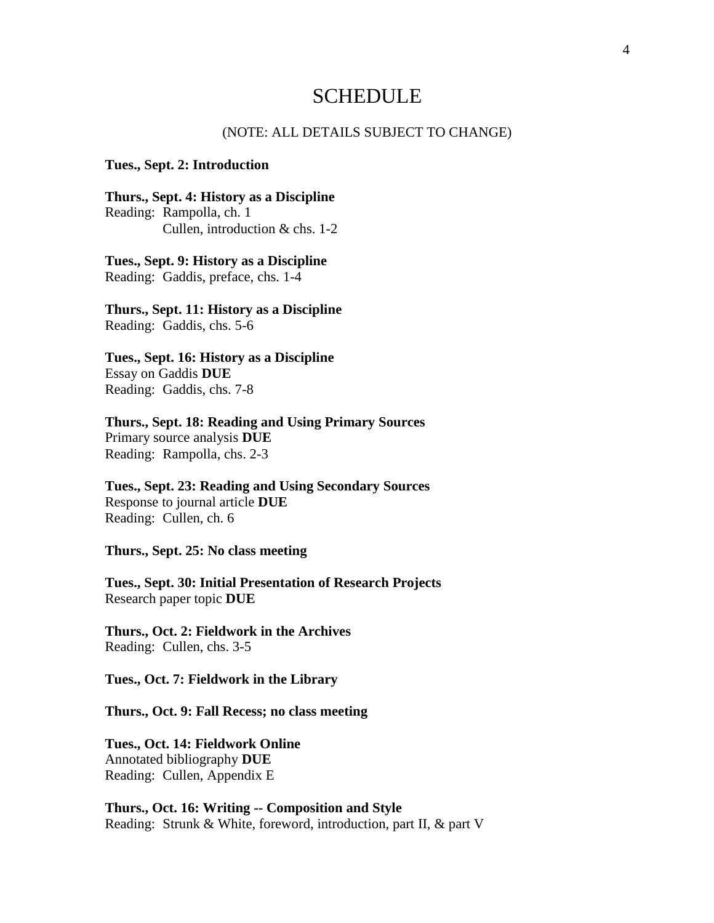# **SCHEDULE**

#### (NOTE: ALL DETAILS SUBJECT TO CHANGE)

#### **Tues., Sept. 2: Introduction**

**Thurs., Sept. 4: History as a Discipline** Reading: Rampolla, ch. 1 Cullen, introduction & chs. 1-2

**Tues., Sept. 9: History as a Discipline** Reading: Gaddis, preface, chs. 1-4

**Thurs., Sept. 11: History as a Discipline** Reading: Gaddis, chs. 5-6

**Tues., Sept. 16: History as a Discipline** Essay on Gaddis **DUE** Reading: Gaddis, chs. 7-8

**Thurs., Sept. 18: Reading and Using Primary Sources** Primary source analysis **DUE** Reading: Rampolla, chs. 2-3

**Tues., Sept. 23: Reading and Using Secondary Sources** Response to journal article **DUE** Reading: Cullen, ch. 6

**Thurs., Sept. 25: No class meeting**

**Tues., Sept. 30: Initial Presentation of Research Projects** Research paper topic **DUE**

**Thurs., Oct. 2: Fieldwork in the Archives** Reading: Cullen, chs. 3-5

**Tues., Oct. 7: Fieldwork in the Library**

**Thurs., Oct. 9: Fall Recess; no class meeting** 

**Tues., Oct. 14: Fieldwork Online** Annotated bibliography **DUE** Reading: Cullen, Appendix E

**Thurs., Oct. 16: Writing -- Composition and Style** Reading: Strunk & White, foreword, introduction, part II, & part V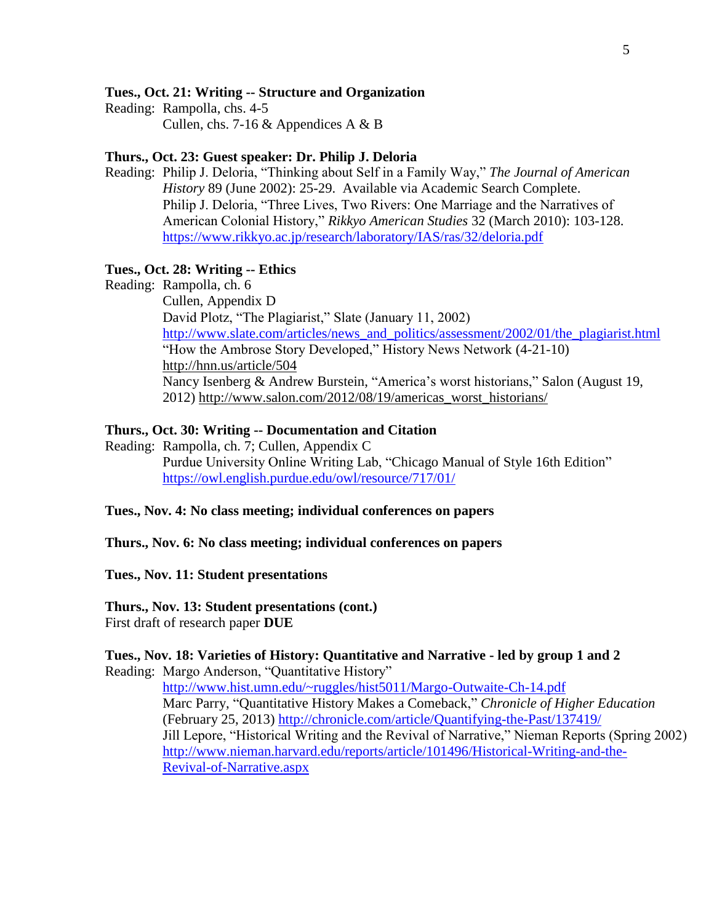# **Tues., Oct. 21: Writing -- Structure and Organization**

Reading: Rampolla, chs. 4-5 Cullen, chs. 7-16 & Appendices A & B

# **Thurs., Oct. 23: Guest speaker: Dr. Philip J. Deloria**

Reading: Philip J. Deloria, "Thinking about Self in a Family Way," *The Journal of American History* 89 (June 2002): 25-29. Available via Academic Search Complete. Philip J. Deloria, "Three Lives, Two Rivers: One Marriage and the Narratives of American Colonial History," *Rikkyo American Studies* 32 (March 2010): 103-128. <https://www.rikkyo.ac.jp/research/laboratory/IAS/ras/32/deloria.pdf>

# **Tues., Oct. 28: Writing -- Ethics**

Reading: Rampolla, ch. 6 Cullen, Appendix D David Plotz, "The Plagiarist," Slate (January 11, 2002) [http://www.slate.com/articles/news\\_and\\_politics/assessment/2002/01/the\\_plagiarist.html](http://www.slate.com/articles/news_and_politics/assessment/2002/01/the_plagiarist.html) "How the Ambrose Story Developed," History News Network (4-21-10) <http://hnn.us/article/504> Nancy Isenberg & Andrew Burstein, "America's worst historians," Salon (August 19, 2012) [http://www.salon.com/2012/08/19/americas\\_worst\\_historians/](http://www.salon.com/2012/08/19/americas_worst_historians/)

# **Thurs., Oct. 30: Writing -- Documentation and Citation**

Reading: Rampolla, ch. 7; Cullen, Appendix C Purdue University Online Writing Lab, "Chicago Manual of Style 16th Edition" <https://owl.english.purdue.edu/owl/resource/717/01/>

# **Tues., Nov. 4: No class meeting; individual conferences on papers**

**Thurs., Nov. 6: No class meeting; individual conferences on papers**

**Tues., Nov. 11: Student presentations**

**Thurs., Nov. 13: Student presentations (cont.)** First draft of research paper **DUE**

# **Tues., Nov. 18: Varieties of History: Quantitative and Narrative - led by group 1 and 2**

Reading: Margo Anderson, "Quantitative History"

<http://www.hist.umn.edu/~ruggles/hist5011/Margo-Outwaite-Ch-14.pdf> Marc Parry, "Quantitative History Makes a Comeback," *Chronicle of Higher Education* (February 25, 2013)<http://chronicle.com/article/Quantifying-the-Past/137419/> Jill Lepore, "Historical Writing and the Revival of Narrative," Nieman Reports (Spring 2002) [http://www.nieman.harvard.edu/reports/article/101496/Historical-Writing-and-the-](http://www.nieman.harvard.edu/reports/article/101496/Historical-Writing-and-the-Revival-of-Narrative.aspx)[Revival-of-Narrative.aspx](http://www.nieman.harvard.edu/reports/article/101496/Historical-Writing-and-the-Revival-of-Narrative.aspx)